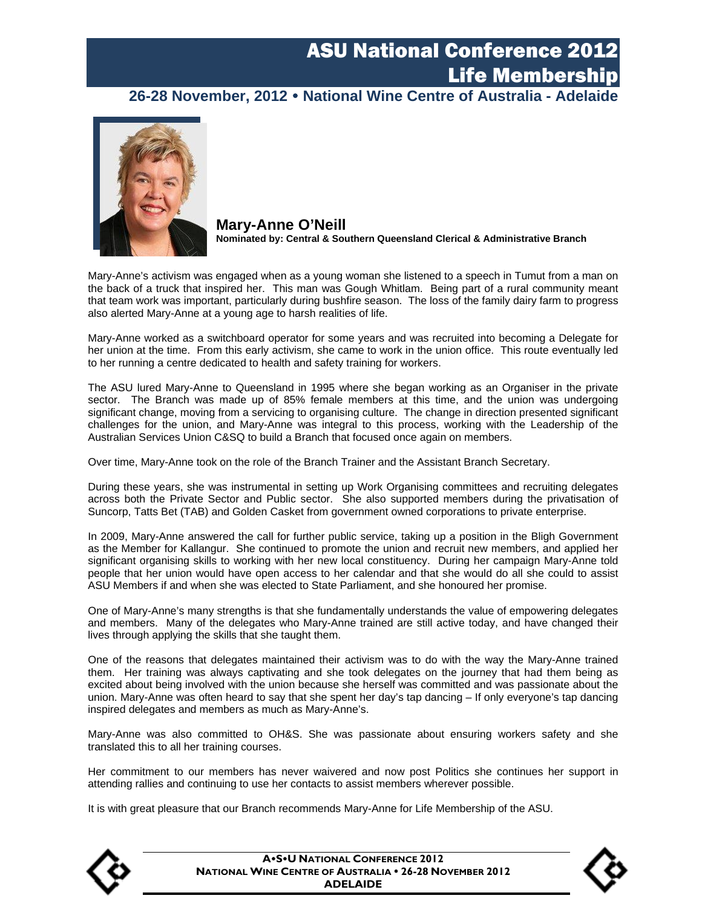### **26-28 November, 2012 National Wine Centre of Australia - Adelaide**



**Mary-Anne O'Neill Nominated by: Central & Southern Queensland Clerical & Administrative Branch** 

Mary-Anne's activism was engaged when as a young woman she listened to a speech in Tumut from a man on the back of a truck that inspired her. This man was Gough Whitlam. Being part of a rural community meant that team work was important, particularly during bushfire season. The loss of the family dairy farm to progress also alerted Mary-Anne at a young age to harsh realities of life.

Mary-Anne worked as a switchboard operator for some years and was recruited into becoming a Delegate for her union at the time. From this early activism, she came to work in the union office. This route eventually led to her running a centre dedicated to health and safety training for workers.

The ASU lured Mary-Anne to Queensland in 1995 where she began working as an Organiser in the private sector. The Branch was made up of 85% female members at this time, and the union was undergoing significant change, moving from a servicing to organising culture. The change in direction presented significant challenges for the union, and Mary-Anne was integral to this process, working with the Leadership of the Australian Services Union C&SQ to build a Branch that focused once again on members.

Over time, Mary-Anne took on the role of the Branch Trainer and the Assistant Branch Secretary.

During these years, she was instrumental in setting up Work Organising committees and recruiting delegates across both the Private Sector and Public sector. She also supported members during the privatisation of Suncorp, Tatts Bet (TAB) and Golden Casket from government owned corporations to private enterprise.

In 2009, Mary-Anne answered the call for further public service, taking up a position in the Bligh Government as the Member for Kallangur. She continued to promote the union and recruit new members, and applied her significant organising skills to working with her new local constituency. During her campaign Mary-Anne told people that her union would have open access to her calendar and that she would do all she could to assist ASU Members if and when she was elected to State Parliament, and she honoured her promise.

One of Mary-Anne's many strengths is that she fundamentally understands the value of empowering delegates and members. Many of the delegates who Mary-Anne trained are still active today, and have changed their lives through applying the skills that she taught them.

One of the reasons that delegates maintained their activism was to do with the way the Mary-Anne trained them. Her training was always captivating and she took delegates on the journey that had them being as excited about being involved with the union because she herself was committed and was passionate about the union. Mary-Anne was often heard to say that she spent her day's tap dancing – If only everyone's tap dancing inspired delegates and members as much as Mary-Anne's.

Mary-Anne was also committed to OH&S. She was passionate about ensuring workers safety and she translated this to all her training courses.

Her commitment to our members has never waivered and now post Politics she continues her support in attending rallies and continuing to use her contacts to assist members wherever possible.

It is with great pleasure that our Branch recommends Mary-Anne for Life Membership of the ASU.



**ASU NATIONAL CONFERENCE 2012 NATIONAL WINE CENTRE OF AUSTRALIA 26-28 NOVEMBER 2012 ADELAIDE**

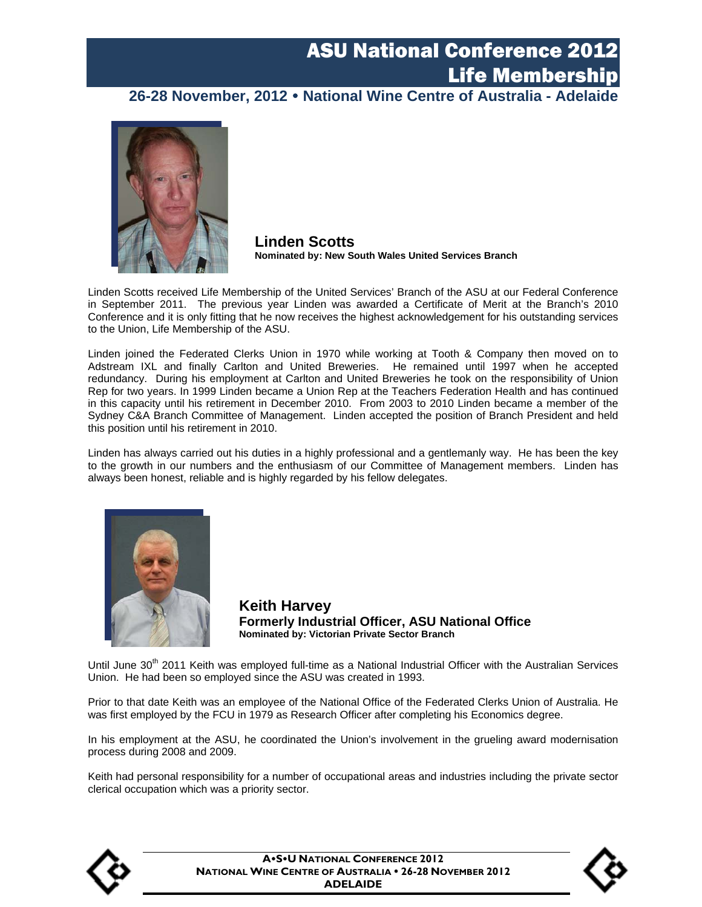#### **26-28 November, 2012 National Wine Centre of Australia - Adelaide**



**Linden Scotts Nominated by: New South Wales United Services Branch** 

Linden Scotts received Life Membership of the United Services' Branch of the ASU at our Federal Conference in September 2011. The previous year Linden was awarded a Certificate of Merit at the Branch's 2010 Conference and it is only fitting that he now receives the highest acknowledgement for his outstanding services to the Union, Life Membership of the ASU.

Linden joined the Federated Clerks Union in 1970 while working at Tooth & Company then moved on to Adstream IXL and finally Carlton and United Breweries. He remained until 1997 when he accepted redundancy. During his employment at Carlton and United Breweries he took on the responsibility of Union Rep for two years. In 1999 Linden became a Union Rep at the Teachers Federation Health and has continued in this capacity until his retirement in December 2010. From 2003 to 2010 Linden became a member of the Sydney C&A Branch Committee of Management. Linden accepted the position of Branch President and held this position until his retirement in 2010.

Linden has always carried out his duties in a highly professional and a gentlemanly way. He has been the key to the growth in our numbers and the enthusiasm of our Committee of Management members. Linden has always been honest, reliable and is highly regarded by his fellow delegates.



**Keith Harvey Formerly Industrial Officer, ASU National Office Nominated by: Victorian Private Sector Branch** 

Until June 30<sup>th</sup> 2011 Keith was employed full-time as a National Industrial Officer with the Australian Services Union. He had been so employed since the ASU was created in 1993.

Prior to that date Keith was an employee of the National Office of the Federated Clerks Union of Australia. He was first employed by the FCU in 1979 as Research Officer after completing his Economics degree.

In his employment at the ASU, he coordinated the Union's involvement in the grueling award modernisation process during 2008 and 2009.

Keith had personal responsibility for a number of occupational areas and industries including the private sector clerical occupation which was a priority sector.



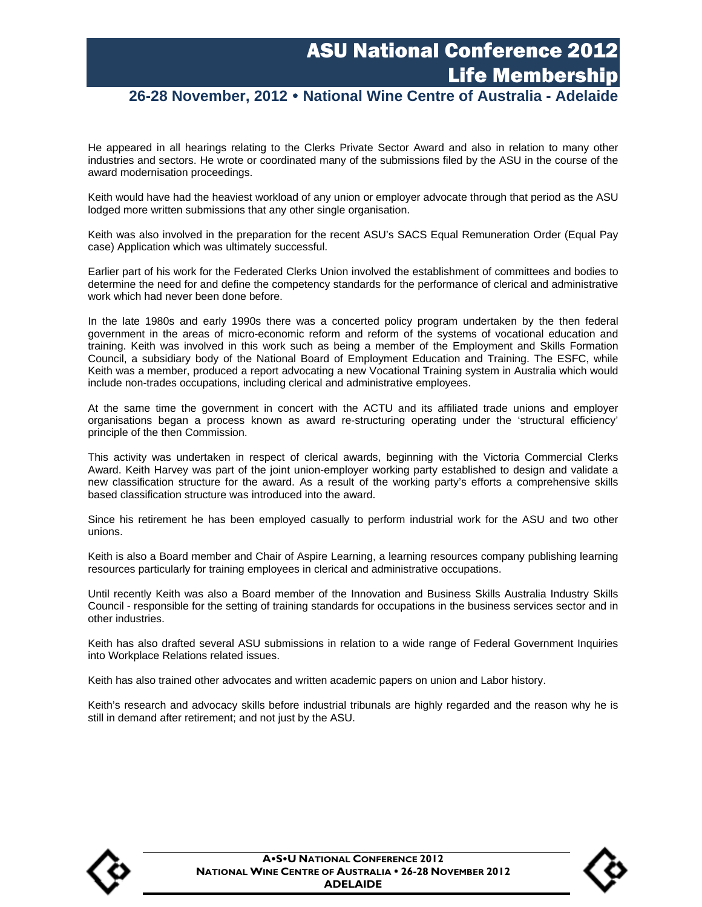#### **26-28 November, 2012 National Wine Centre of Australia - Adelaide**

He appeared in all hearings relating to the Clerks Private Sector Award and also in relation to many other industries and sectors. He wrote or coordinated many of the submissions filed by the ASU in the course of the award modernisation proceedings.

Keith would have had the heaviest workload of any union or employer advocate through that period as the ASU lodged more written submissions that any other single organisation.

Keith was also involved in the preparation for the recent ASU's SACS Equal Remuneration Order (Equal Pay case) Application which was ultimately successful.

Earlier part of his work for the Federated Clerks Union involved the establishment of committees and bodies to determine the need for and define the competency standards for the performance of clerical and administrative work which had never been done before.

In the late 1980s and early 1990s there was a concerted policy program undertaken by the then federal government in the areas of micro-economic reform and reform of the systems of vocational education and training. Keith was involved in this work such as being a member of the Employment and Skills Formation Council, a subsidiary body of the National Board of Employment Education and Training. The ESFC, while Keith was a member, produced a report advocating a new Vocational Training system in Australia which would include non-trades occupations, including clerical and administrative employees.

At the same time the government in concert with the ACTU and its affiliated trade unions and employer organisations began a process known as award re-structuring operating under the 'structural efficiency' principle of the then Commission.

This activity was undertaken in respect of clerical awards, beginning with the Victoria Commercial Clerks Award. Keith Harvey was part of the joint union-employer working party established to design and validate a new classification structure for the award. As a result of the working party's efforts a comprehensive skills based classification structure was introduced into the award.

Since his retirement he has been employed casually to perform industrial work for the ASU and two other unions.

Keith is also a Board member and Chair of Aspire Learning, a learning resources company publishing learning resources particularly for training employees in clerical and administrative occupations.

Until recently Keith was also a Board member of the Innovation and Business Skills Australia Industry Skills Council - responsible for the setting of training standards for occupations in the business services sector and in other industries.

Keith has also drafted several ASU submissions in relation to a wide range of Federal Government Inquiries into Workplace Relations related issues.

Keith has also trained other advocates and written academic papers on union and Labor history.

Keith's research and advocacy skills before industrial tribunals are highly regarded and the reason why he is still in demand after retirement; and not just by the ASU.



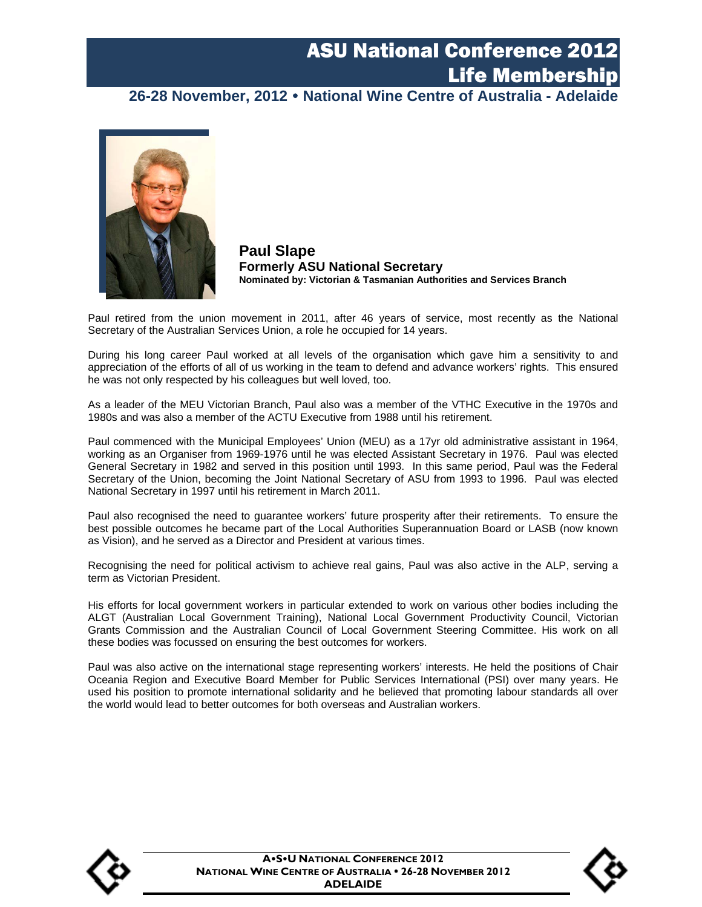#### **26-28 November, 2012 National Wine Centre of Australia - Adelaide**



**Paul Slape Formerly ASU National Secretary Nominated by: Victorian & Tasmanian Authorities and Services Branch** 

Paul retired from the union movement in 2011, after 46 years of service, most recently as the National Secretary of the Australian Services Union, a role he occupied for 14 years.

During his long career Paul worked at all levels of the organisation which gave him a sensitivity to and appreciation of the efforts of all of us working in the team to defend and advance workers' rights. This ensured he was not only respected by his colleagues but well loved, too.

As a leader of the MEU Victorian Branch, Paul also was a member of the VTHC Executive in the 1970s and 1980s and was also a member of the ACTU Executive from 1988 until his retirement.

Paul commenced with the Municipal Employees' Union (MEU) as a 17yr old administrative assistant in 1964, working as an Organiser from 1969-1976 until he was elected Assistant Secretary in 1976. Paul was elected General Secretary in 1982 and served in this position until 1993. In this same period, Paul was the Federal Secretary of the Union, becoming the Joint National Secretary of ASU from 1993 to 1996. Paul was elected National Secretary in 1997 until his retirement in March 2011.

Paul also recognised the need to guarantee workers' future prosperity after their retirements. To ensure the best possible outcomes he became part of the Local Authorities Superannuation Board or LASB (now known as Vision), and he served as a Director and President at various times.

Recognising the need for political activism to achieve real gains, Paul was also active in the ALP, serving a term as Victorian President.

His efforts for local government workers in particular extended to work on various other bodies including the ALGT (Australian Local Government Training), National Local Government Productivity Council, Victorian Grants Commission and the Australian Council of Local Government Steering Committee. His work on all these bodies was focussed on ensuring the best outcomes for workers.

Paul was also active on the international stage representing workers' interests. He held the positions of Chair Oceania Region and Executive Board Member for Public Services International (PSI) over many years. He used his position to promote international solidarity and he believed that promoting labour standards all over the world would lead to better outcomes for both overseas and Australian workers.



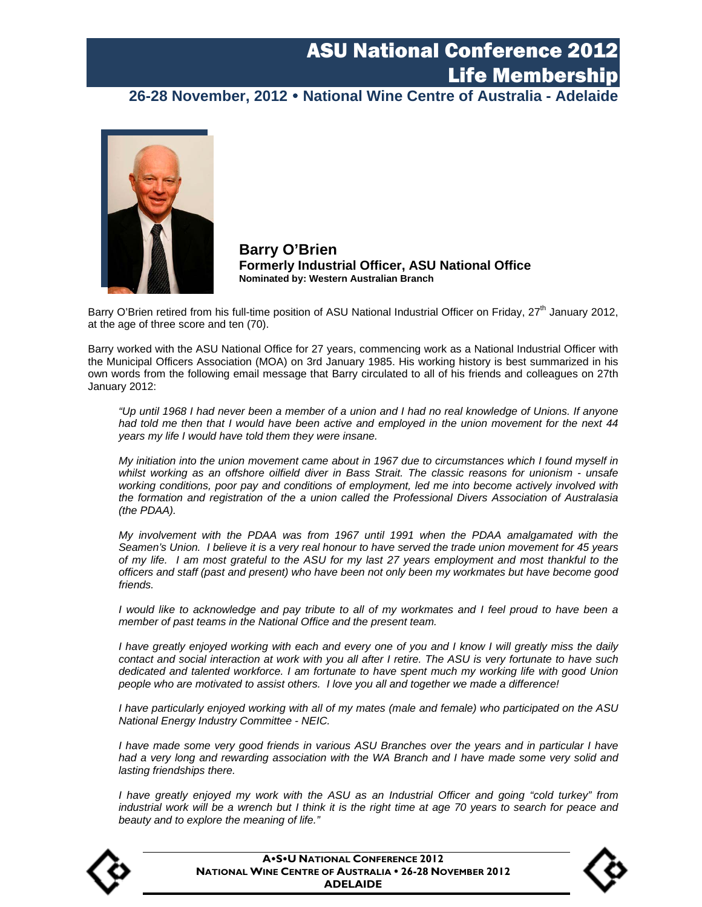**26-28 November, 2012 National Wine Centre of Australia - Adelaide** 



**Barry O'Brien Formerly Industrial Officer, ASU National Office Nominated by: Western Australian Branch** 

Barry O'Brien retired from his full-time position of ASU National Industrial Officer on Friday, 27<sup>th</sup> January 2012, at the age of three score and ten (70).

Barry worked with the ASU National Office for 27 years, commencing work as a National Industrial Officer with the Municipal Officers Association (MOA) on 3rd January 1985. His working history is best summarized in his own words from the following email message that Barry circulated to all of his friends and colleagues on 27th January 2012:

 *"Up until 1968 I had never been a member of a union and I had no real knowledge of Unions. If anyone had told me then that I would have been active and employed in the union movement for the next 44 years my life I would have told them they were insane.*

 *My initiation into the union movement came about in 1967 due to circumstances which I found myself in whilst working as an offshore oilfield diver in Bass Strait. The classic reasons for unionism - unsafe working conditions, poor pay and conditions of employment, led me into become actively involved with the formation and registration of the a union called the Professional Divers Association of Australasia (the PDAA).*

 *My involvement with the PDAA was from 1967 until 1991 when the PDAA amalgamated with the Seamen's Union. I believe it is a very real honour to have served the trade union movement for 45 years of my life. I am most grateful to the ASU for my last 27 years employment and most thankful to the officers and staff (past and present) who have been not only been my workmates but have become good friends.* 

*I would like to acknowledge and pay tribute to all of my workmates and I feel proud to have been a member of past teams in the National Office and the present team.*

*I have greatly enjoyed working with each and every one of you and I know I will greatly miss the daily contact and social interaction at work with you all after I retire. The ASU is very fortunate to have such dedicated and talented workforce. I am fortunate to have spent much my working life with good Union people who are motivated to assist others. I love you all and together we made a difference!*

*I have particularly enjoyed working with all of my mates (male and female) who participated on the ASU National Energy Industry Committee - NEIC.*

*I have made some very good friends in various ASU Branches over the years and in particular I have*  had a very long and rewarding association with the WA Branch and I have made some very solid and *lasting friendships there.*

*I have greatly enjoyed my work with the ASU as an Industrial Officer and going "cold turkey" from industrial work will be a wrench but I think it is the right time at age 70 years to search for peace and beauty and to explore the meaning of life."*



**ASU NATIONAL CONFERENCE 2012 NATIONAL WINE CENTRE OF AUSTRALIA 26-28 NOVEMBER 2012 ADELAIDE**